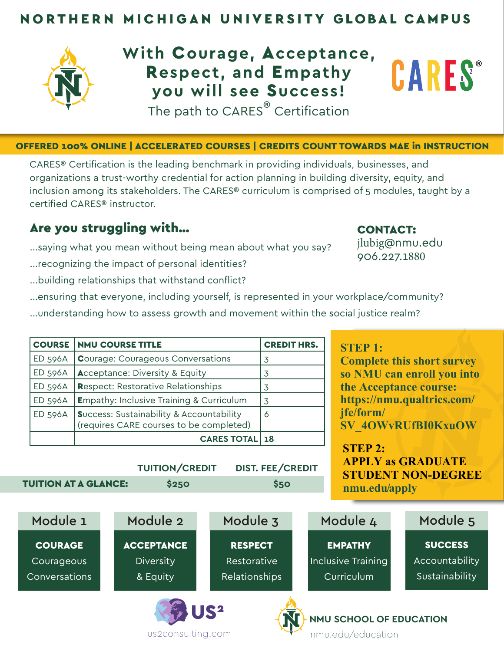## NORTHERN MICHIGAN UNIVERSITY GLOBAL CAMPUS



## **With** C**ourage,** A**cceptance, CARES**® R**espect, and** E**mpathy you will see** S**uccess!** The path to CARES<sup>®</sup> Certification

#### OFFERED 100% ONLINE | ACCELERATED COURSES | CREDITS COUNT TOWARDS MAE in INSTRUCTION

CARES® Certification is the leading benchmark in providing individuals, businesses, and organizations a trust-worthy credential for action planning in building diversity, equity, and inclusion among its stakeholders. The CARES® curriculum is comprised of 5 modules, taught by a certified CARES® instructor.

## Are you struggling with...

...saying what you mean without being mean about what you say?

- ...recognizing the impact of personal identities?
- ...building relationships that withstand conflict?

### ...ensuring that everyone, including yourself, is represented in your workplace/community?

...understanding how to assess growth and movement within the social justice realm?

 **TUITION/CREDIT DIST. FEE/CREDIT**

| <b>COURSE</b>  | <b>NMU COURSE TITLE</b>                                                                        | <b>CREDIT HRS.</b> |
|----------------|------------------------------------------------------------------------------------------------|--------------------|
| <b>ED 596A</b> | <b>Courage: Courageous Conversations</b>                                                       | 3                  |
| <b>ED 596A</b> | <b>Acceptance: Diversity &amp; Equity</b>                                                      | 3                  |
| <b>ED 596A</b> | <b>Respect: Restorative Relationships</b>                                                      | 3                  |
| <b>ED 596A</b> | <b>Empathy: Inclusive Training &amp; Curriculum</b>                                            | 3                  |
| <b>ED 596A</b> | <b>Success: Sustainability &amp; Accountability</b><br>(requires CARE courses to be completed) | 6                  |
|                | <b>CARES TOTAL</b>                                                                             | 18 ا               |

us2consulting.com

 **TUITION AT A GLANCE:** \$250 \$50

## **STEP 1:**

CONTACT:

jlubig@nmu.edu 906.227.1880

**Complete this short survey so NMU can enroll you into the Acceptance course: https://nmu.qualtrics.com/ jfe/form/ [SV\\_4OWvRUfBI0KxuOW](https://nmu.qualtrics.com/jfe/form/SV_4OWvRUfBI0KxuOW)**

**STEP 2: APPLY as GRADUATE STUDENT NON-DEGREE <nmu.edu/apply>**



nmu.edu/education